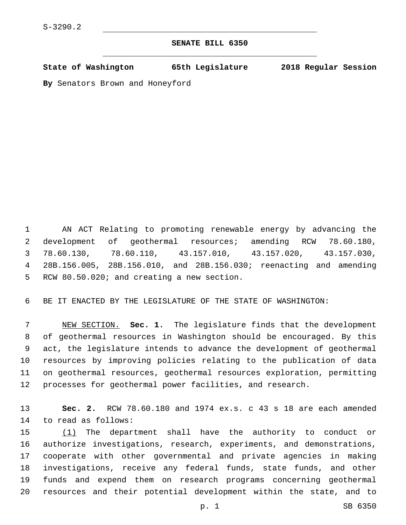## **SENATE BILL 6350**

**State of Washington 65th Legislature 2018 Regular Session**

**By** Senators Brown and Honeyford

 AN ACT Relating to promoting renewable energy by advancing the development of geothermal resources; amending RCW 78.60.180, 78.60.130, 78.60.110, 43.157.010, 43.157.020, 43.157.030, 28B.156.005, 28B.156.010, and 28B.156.030; reenacting and amending 5 RCW 80.50.020; and creating a new section.

BE IT ENACTED BY THE LEGISLATURE OF THE STATE OF WASHINGTON:

 NEW SECTION. **Sec. 1.** The legislature finds that the development of geothermal resources in Washington should be encouraged. By this act, the legislature intends to advance the development of geothermal resources by improving policies relating to the publication of data on geothermal resources, geothermal resources exploration, permitting processes for geothermal power facilities, and research.

 **Sec. 2.** RCW 78.60.180 and 1974 ex.s. c 43 s 18 are each amended 14 to read as follows:

15 (1) The department shall have the authority to conduct or authorize investigations, research, experiments, and demonstrations, cooperate with other governmental and private agencies in making investigations, receive any federal funds, state funds, and other funds and expend them on research programs concerning geothermal resources and their potential development within the state, and to

p. 1 SB 6350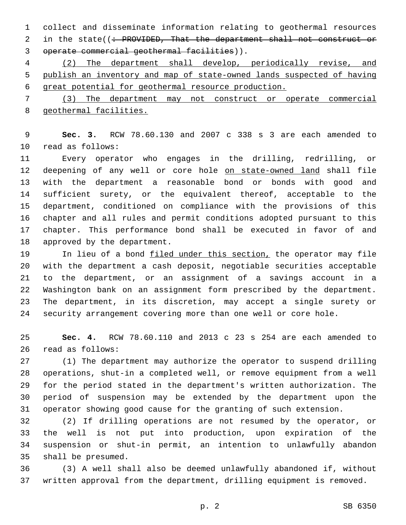collect and disseminate information relating to geothermal resources 2 in the state((: PROVIDED, That the department shall not construct or 3 operate commercial geothermal facilities)).

 (2) The department shall develop, periodically revise, and publish an inventory and map of state-owned lands suspected of having great potential for geothermal resource production.

 (3) The department may not construct or operate commercial geothermal facilities.

 **Sec. 3.** RCW 78.60.130 and 2007 c 338 s 3 are each amended to 10 read as follows:

 Every operator who engages in the drilling, redrilling, or 12 deepening of any well or core hole on state-owned land shall file with the department a reasonable bond or bonds with good and sufficient surety, or the equivalent thereof, acceptable to the department, conditioned on compliance with the provisions of this chapter and all rules and permit conditions adopted pursuant to this chapter. This performance bond shall be executed in favor of and 18 approved by the department.

19 In lieu of a bond filed under this section, the operator may file with the department a cash deposit, negotiable securities acceptable to the department, or an assignment of a savings account in a Washington bank on an assignment form prescribed by the department. The department, in its discretion, may accept a single surety or security arrangement covering more than one well or core hole.

 **Sec. 4.** RCW 78.60.110 and 2013 c 23 s 254 are each amended to 26 read as follows:

 (1) The department may authorize the operator to suspend drilling operations, shut-in a completed well, or remove equipment from a well for the period stated in the department's written authorization. The period of suspension may be extended by the department upon the operator showing good cause for the granting of such extension.

 (2) If drilling operations are not resumed by the operator, or the well is not put into production, upon expiration of the suspension or shut-in permit, an intention to unlawfully abandon 35 shall be presumed.

 (3) A well shall also be deemed unlawfully abandoned if, without written approval from the department, drilling equipment is removed.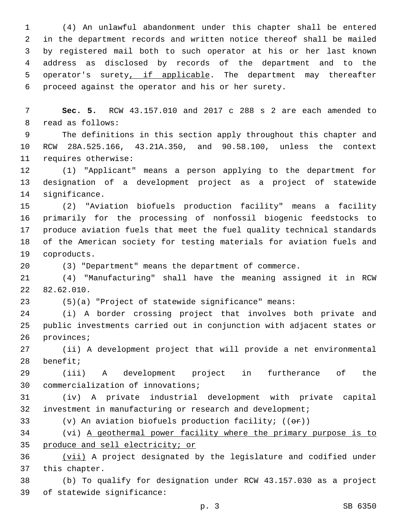(4) An unlawful abandonment under this chapter shall be entered in the department records and written notice thereof shall be mailed by registered mail both to such operator at his or her last known address as disclosed by records of the department and to the 5 operator's surety, if applicable. The department may thereafter proceed against the operator and his or her surety.

 **Sec. 5.** RCW 43.157.010 and 2017 c 288 s 2 are each amended to 8 read as follows:

 The definitions in this section apply throughout this chapter and RCW 28A.525.166, 43.21A.350, and 90.58.100, unless the context 11 requires otherwise:

 (1) "Applicant" means a person applying to the department for designation of a development project as a project of statewide 14 significance.

 (2) "Aviation biofuels production facility" means a facility primarily for the processing of nonfossil biogenic feedstocks to produce aviation fuels that meet the fuel quality technical standards of the American society for testing materials for aviation fuels and 19 coproducts.

(3) "Department" means the department of commerce.

 (4) "Manufacturing" shall have the meaning assigned it in RCW 22 82.62.010.

(5)(a) "Project of statewide significance" means:

 (i) A border crossing project that involves both private and public investments carried out in conjunction with adjacent states or 26 provinces;

 (ii) A development project that will provide a net environmental 28 benefit;

 (iii) A development project in furtherance of the 30 commercialization of innovations;

 (iv) A private industrial development with private capital investment in manufacturing or research and development;

33 (v) An aviation biofuels production facility;  $((\theta \cdot \hat{r}))$ 

 (vi) A geothermal power facility where the primary purpose is to produce and sell electricity; or

 (vii) A project designated by the legislature and codified under 37 this chapter.

 (b) To qualify for designation under RCW 43.157.030 as a project 39 of statewide significance: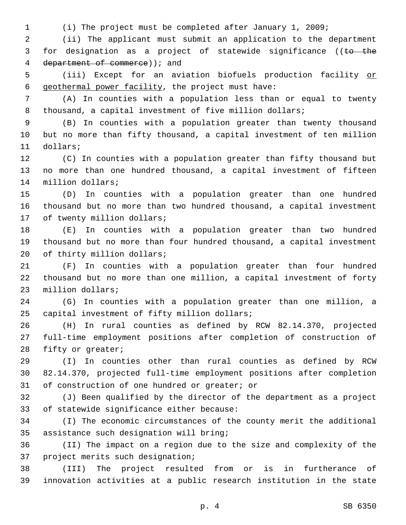1 (i) The project must be completed after January 1, 2009;

2 (ii) The applicant must submit an application to the department 3 for designation as a project of statewide significance ((to the 4 department of commerce) ); and

5 (iii) Except for an aviation biofuels production facility or 6 geothermal power facility, the project must have:

7 (A) In counties with a population less than or equal to twenty 8 thousand, a capital investment of five million dollars;

9 (B) In counties with a population greater than twenty thousand 10 but no more than fifty thousand, a capital investment of ten million 11 dollars;

12 (C) In counties with a population greater than fifty thousand but 13 no more than one hundred thousand, a capital investment of fifteen 14 million dollars;

15 (D) In counties with a population greater than one hundred 16 thousand but no more than two hundred thousand, a capital investment 17 of twenty million dollars;

18 (E) In counties with a population greater than two hundred 19 thousand but no more than four hundred thousand, a capital investment 20 of thirty million dollars;

21 (F) In counties with a population greater than four hundred 22 thousand but no more than one million, a capital investment of forty 23 million dollars;

24 (G) In counties with a population greater than one million, a 25 capital investment of fifty million dollars;

26 (H) In rural counties as defined by RCW 82.14.370, projected 27 full-time employment positions after completion of construction of 28 fifty or greater;

29 (I) In counties other than rural counties as defined by RCW 30 82.14.370, projected full-time employment positions after completion 31 of construction of one hundred or greater; or

32 (J) Been qualified by the director of the department as a project 33 of statewide significance either because:

34 (I) The economic circumstances of the county merit the additional 35 assistance such designation will bring;

36 (II) The impact on a region due to the size and complexity of the 37 project merits such designation;

38 (III) The project resulted from or is in furtherance of 39 innovation activities at a public research institution in the state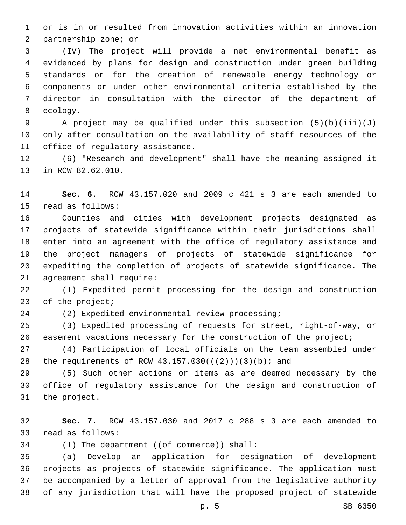or is in or resulted from innovation activities within an innovation 2 partnership zone; or

 (IV) The project will provide a net environmental benefit as evidenced by plans for design and construction under green building standards or for the creation of renewable energy technology or components or under other environmental criteria established by the director in consultation with the director of the department of 8 ecology.

 A project may be qualified under this subsection (5)(b)(iii)(J) only after consultation on the availability of staff resources of the 11 office of requlatory assistance.

 (6) "Research and development" shall have the meaning assigned it 13 in RCW 82.62.010.

 **Sec. 6.** RCW 43.157.020 and 2009 c 421 s 3 are each amended to 15 read as follows:

 Counties and cities with development projects designated as projects of statewide significance within their jurisdictions shall enter into an agreement with the office of regulatory assistance and the project managers of projects of statewide significance for expediting the completion of projects of statewide significance. The 21 agreement shall require:

 (1) Expedited permit processing for the design and construction 23 of the project;

(2) Expedited environmental review processing;

 (3) Expedited processing of requests for street, right-of-way, or 26 easement vacations necessary for the construction of the project;

 (4) Participation of local officials on the team assembled under 28 the requirements of RCW  $43.157.030((\frac{2}{2}))(3)(b)$ ; and

 (5) Such other actions or items as are deemed necessary by the office of regulatory assistance for the design and construction of 31 the project.

 **Sec. 7.** RCW 43.157.030 and 2017 c 288 s 3 are each amended to 33 read as follows:

34 (1) The department ((of commerce)) shall:

 (a) Develop an application for designation of development projects as projects of statewide significance. The application must be accompanied by a letter of approval from the legislative authority of any jurisdiction that will have the proposed project of statewide

p. 5 SB 6350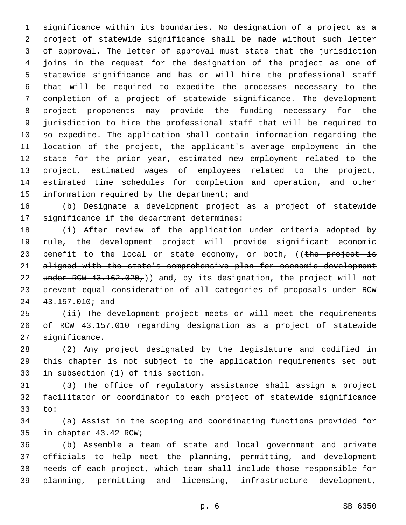significance within its boundaries. No designation of a project as a project of statewide significance shall be made without such letter of approval. The letter of approval must state that the jurisdiction joins in the request for the designation of the project as one of statewide significance and has or will hire the professional staff that will be required to expedite the processes necessary to the completion of a project of statewide significance. The development project proponents may provide the funding necessary for the jurisdiction to hire the professional staff that will be required to so expedite. The application shall contain information regarding the location of the project, the applicant's average employment in the state for the prior year, estimated new employment related to the project, estimated wages of employees related to the project, estimated time schedules for completion and operation, and other 15 information required by the department; and

 (b) Designate a development project as a project of statewide 17 significance if the department determines:

 (i) After review of the application under criteria adopted by rule, the development project will provide significant economic 20 benefit to the local or state economy, or both,  $($  (the project is aligned with the state's comprehensive plan for economic development 22 under RCW 43.162.020,) and, by its designation, the project will not prevent equal consideration of all categories of proposals under RCW 24 43.157.010; and

 (ii) The development project meets or will meet the requirements of RCW 43.157.010 regarding designation as a project of statewide 27 significance.

 (2) Any project designated by the legislature and codified in this chapter is not subject to the application requirements set out 30 in subsection (1) of this section.

 (3) The office of regulatory assistance shall assign a project facilitator or coordinator to each project of statewide significance 33 to:

 (a) Assist in the scoping and coordinating functions provided for 35 in chapter 43.42 RCW;

 (b) Assemble a team of state and local government and private officials to help meet the planning, permitting, and development needs of each project, which team shall include those responsible for planning, permitting and licensing, infrastructure development,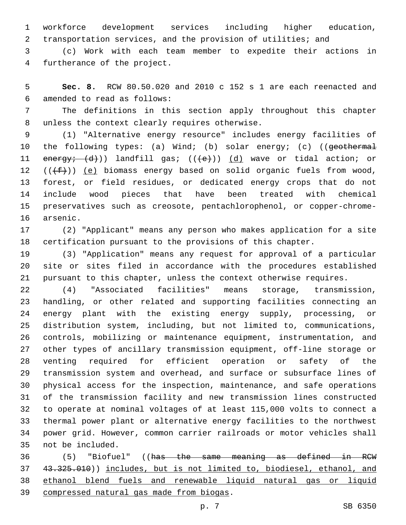workforce development services including higher education, transportation services, and the provision of utilities; and

 (c) Work with each team member to expedite their actions in 4 furtherance of the project.

 **Sec. 8.** RCW 80.50.020 and 2010 c 152 s 1 are each reenacted and amended to read as follows:6

 The definitions in this section apply throughout this chapter 8 unless the context clearly requires otherwise.

 (1) "Alternative energy resource" includes energy facilities of 10 the following types: (a) Wind; (b) solar energy; (c) ((geothermal 11 energy; (d))) landfill gas; (((e))) (d) wave or tidal action; or  $((\text{#}))$  (e) biomass energy based on solid organic fuels from wood, forest, or field residues, or dedicated energy crops that do not include wood pieces that have been treated with chemical preservatives such as creosote, pentachlorophenol, or copper-chrome-16 arsenic.

 (2) "Applicant" means any person who makes application for a site certification pursuant to the provisions of this chapter.

 (3) "Application" means any request for approval of a particular site or sites filed in accordance with the procedures established pursuant to this chapter, unless the context otherwise requires.

 (4) "Associated facilities" means storage, transmission, handling, or other related and supporting facilities connecting an energy plant with the existing energy supply, processing, or distribution system, including, but not limited to, communications, controls, mobilizing or maintenance equipment, instrumentation, and other types of ancillary transmission equipment, off-line storage or venting required for efficient operation or safety of the transmission system and overhead, and surface or subsurface lines of physical access for the inspection, maintenance, and safe operations of the transmission facility and new transmission lines constructed to operate at nominal voltages of at least 115,000 volts to connect a thermal power plant or alternative energy facilities to the northwest power grid. However, common carrier railroads or motor vehicles shall 35 not be included.

 (5) "Biofuel" ((has the same meaning as defined in RCW 43.325.010)) includes, but is not limited to, biodiesel, ethanol, and ethanol blend fuels and renewable liquid natural gas or liquid 39 compressed natural gas made from biogas.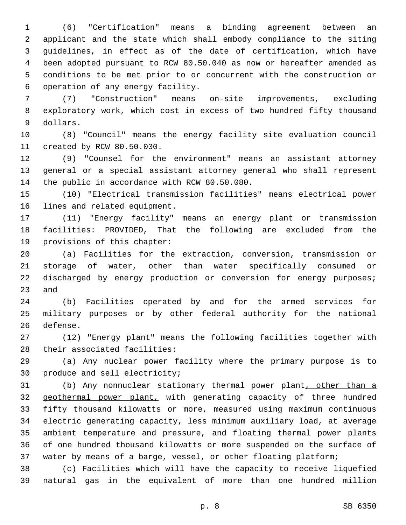(6) "Certification" means a binding agreement between an applicant and the state which shall embody compliance to the siting guidelines, in effect as of the date of certification, which have been adopted pursuant to RCW 80.50.040 as now or hereafter amended as conditions to be met prior to or concurrent with the construction or 6 operation of any energy facility.

 (7) "Construction" means on-site improvements, excluding exploratory work, which cost in excess of two hundred fifty thousand 9 dollars.

 (8) "Council" means the energy facility site evaluation council 11 created by RCW 80.50.030.

 (9) "Counsel for the environment" means an assistant attorney general or a special assistant attorney general who shall represent 14 the public in accordance with RCW 80.50.080.

 (10) "Electrical transmission facilities" means electrical power 16 lines and related equipment.

 (11) "Energy facility" means an energy plant or transmission facilities: PROVIDED, That the following are excluded from the 19 provisions of this chapter:

 (a) Facilities for the extraction, conversion, transmission or storage of water, other than water specifically consumed or 22 discharged by energy production or conversion for energy purposes; and

 (b) Facilities operated by and for the armed services for military purposes or by other federal authority for the national 26 defense.

 (12) "Energy plant" means the following facilities together with 28 their associated facilities:

 (a) Any nuclear power facility where the primary purpose is to 30 produce and sell electricity;

 (b) Any nonnuclear stationary thermal power plant, other than a geothermal power plant, with generating capacity of three hundred fifty thousand kilowatts or more, measured using maximum continuous electric generating capacity, less minimum auxiliary load, at average ambient temperature and pressure, and floating thermal power plants of one hundred thousand kilowatts or more suspended on the surface of water by means of a barge, vessel, or other floating platform;

 (c) Facilities which will have the capacity to receive liquefied natural gas in the equivalent of more than one hundred million

p. 8 SB 6350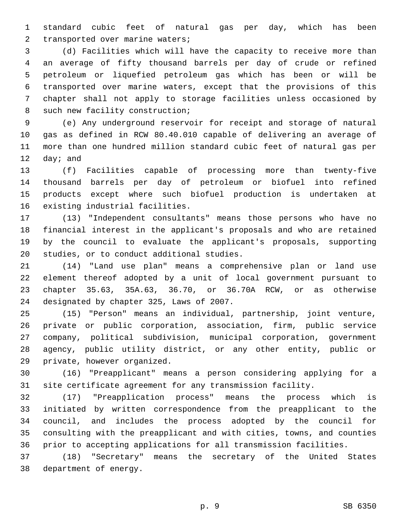standard cubic feet of natural gas per day, which has been 2 transported over marine waters;

 (d) Facilities which will have the capacity to receive more than an average of fifty thousand barrels per day of crude or refined petroleum or liquefied petroleum gas which has been or will be transported over marine waters, except that the provisions of this chapter shall not apply to storage facilities unless occasioned by 8 such new facility construction;

 (e) Any underground reservoir for receipt and storage of natural gas as defined in RCW 80.40.010 capable of delivering an average of more than one hundred million standard cubic feet of natural gas per  $day;$  and

 (f) Facilities capable of processing more than twenty-five thousand barrels per day of petroleum or biofuel into refined products except where such biofuel production is undertaken at 16 existing industrial facilities.

 (13) "Independent consultants" means those persons who have no financial interest in the applicant's proposals and who are retained by the council to evaluate the applicant's proposals, supporting 20 studies, or to conduct additional studies.

 (14) "Land use plan" means a comprehensive plan or land use element thereof adopted by a unit of local government pursuant to chapter 35.63, 35A.63, 36.70, or 36.70A RCW, or as otherwise 24 designated by chapter 325, Laws of 2007.

 (15) "Person" means an individual, partnership, joint venture, private or public corporation, association, firm, public service company, political subdivision, municipal corporation, government agency, public utility district, or any other entity, public or 29 private, however organized.

 (16) "Preapplicant" means a person considering applying for a site certificate agreement for any transmission facility.

 (17) "Preapplication process" means the process which is initiated by written correspondence from the preapplicant to the council, and includes the process adopted by the council for consulting with the preapplicant and with cities, towns, and counties prior to accepting applications for all transmission facilities.

 (18) "Secretary" means the secretary of the United States 38 department of energy.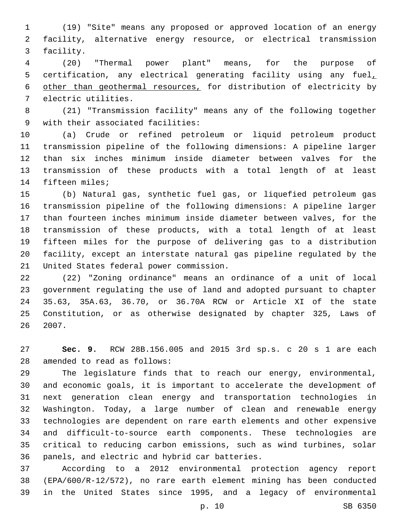(19) "Site" means any proposed or approved location of an energy facility, alternative energy resource, or electrical transmission 3 facility.

 (20) "Thermal power plant" means, for the purpose of certification, any electrical generating facility using any fuel, other than geothermal resources, for distribution of electricity by 7 electric utilities.

 (21) "Transmission facility" means any of the following together 9 with their associated facilities:

 (a) Crude or refined petroleum or liquid petroleum product transmission pipeline of the following dimensions: A pipeline larger than six inches minimum inside diameter between valves for the transmission of these products with a total length of at least 14 fifteen miles;

 (b) Natural gas, synthetic fuel gas, or liquefied petroleum gas transmission pipeline of the following dimensions: A pipeline larger than fourteen inches minimum inside diameter between valves, for the transmission of these products, with a total length of at least fifteen miles for the purpose of delivering gas to a distribution facility, except an interstate natural gas pipeline regulated by the 21 United States federal power commission.

 (22) "Zoning ordinance" means an ordinance of a unit of local government regulating the use of land and adopted pursuant to chapter 35.63, 35A.63, 36.70, or 36.70A RCW or Article XI of the state Constitution, or as otherwise designated by chapter 325, Laws of 2007.

 **Sec. 9.** RCW 28B.156.005 and 2015 3rd sp.s. c 20 s 1 are each 28 amended to read as follows:

 The legislature finds that to reach our energy, environmental, and economic goals, it is important to accelerate the development of next generation clean energy and transportation technologies in Washington. Today, a large number of clean and renewable energy technologies are dependent on rare earth elements and other expensive and difficult-to-source earth components. These technologies are critical to reducing carbon emissions, such as wind turbines, solar 36 panels, and electric and hybrid car batteries.

 According to a 2012 environmental protection agency report (EPA/600/R-12/572), no rare earth element mining has been conducted in the United States since 1995, and a legacy of environmental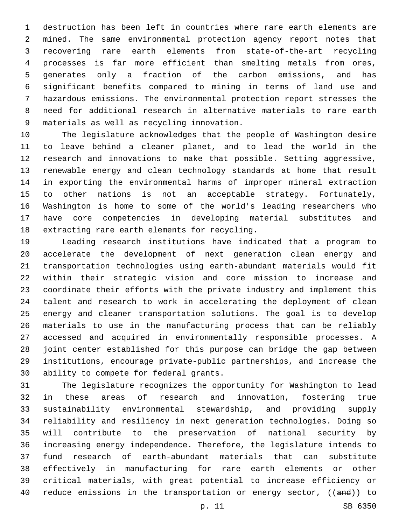destruction has been left in countries where rare earth elements are mined. The same environmental protection agency report notes that recovering rare earth elements from state-of-the-art recycling processes is far more efficient than smelting metals from ores, generates only a fraction of the carbon emissions, and has significant benefits compared to mining in terms of land use and hazardous emissions. The environmental protection report stresses the need for additional research in alternative materials to rare earth 9 materials as well as recycling innovation.

 The legislature acknowledges that the people of Washington desire to leave behind a cleaner planet, and to lead the world in the research and innovations to make that possible. Setting aggressive, renewable energy and clean technology standards at home that result in exporting the environmental harms of improper mineral extraction to other nations is not an acceptable strategy. Fortunately, Washington is home to some of the world's leading researchers who have core competencies in developing material substitutes and 18 extracting rare earth elements for recycling.

 Leading research institutions have indicated that a program to accelerate the development of next generation clean energy and transportation technologies using earth-abundant materials would fit within their strategic vision and core mission to increase and coordinate their efforts with the private industry and implement this talent and research to work in accelerating the deployment of clean energy and cleaner transportation solutions. The goal is to develop materials to use in the manufacturing process that can be reliably accessed and acquired in environmentally responsible processes. A joint center established for this purpose can bridge the gap between institutions, encourage private-public partnerships, and increase the 30 ability to compete for federal grants.

 The legislature recognizes the opportunity for Washington to lead in these areas of research and innovation, fostering true sustainability environmental stewardship, and providing supply reliability and resiliency in next generation technologies. Doing so will contribute to the preservation of national security by increasing energy independence. Therefore, the legislature intends to fund research of earth-abundant materials that can substitute effectively in manufacturing for rare earth elements or other critical materials, with great potential to increase efficiency or 40 reduce emissions in the transportation or energy sector, ((and)) to

p. 11 SB 6350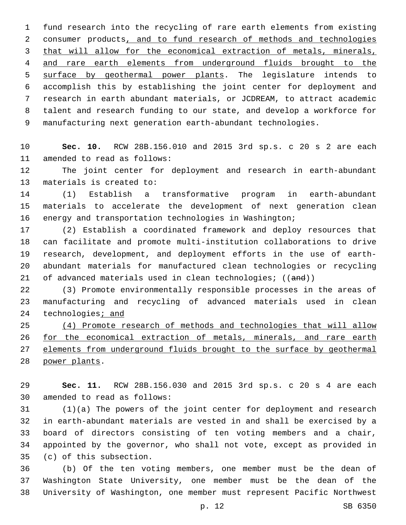fund research into the recycling of rare earth elements from existing consumer products, and to fund research of methods and technologies that will allow for the economical extraction of metals, minerals, and rare earth elements from underground fluids brought to the 5 surface by geothermal power plants. The legislature intends to accomplish this by establishing the joint center for deployment and research in earth abundant materials, or JCDREAM, to attract academic talent and research funding to our state, and develop a workforce for manufacturing next generation earth-abundant technologies.

 **Sec. 10.** RCW 28B.156.010 and 2015 3rd sp.s. c 20 s 2 are each 11 amended to read as follows:

 The joint center for deployment and research in earth-abundant 13 materials is created to:

 (1) Establish a transformative program in earth-abundant materials to accelerate the development of next generation clean energy and transportation technologies in Washington;

 (2) Establish a coordinated framework and deploy resources that can facilitate and promote multi-institution collaborations to drive research, development, and deployment efforts in the use of earth- abundant materials for manufactured clean technologies or recycling 21 of advanced materials used in clean technologies; ((and))

 (3) Promote environmentally responsible processes in the areas of manufacturing and recycling of advanced materials used in clean 24 technologies; and

 (4) Promote research of methods and technologies that will allow 26 for the economical extraction of metals, minerals, and rare earth elements from underground fluids brought to the surface by geothermal 28 power plants.

 **Sec. 11.** RCW 28B.156.030 and 2015 3rd sp.s. c 20 s 4 are each 30 amended to read as follows:

 (1)(a) The powers of the joint center for deployment and research in earth-abundant materials are vested in and shall be exercised by a board of directors consisting of ten voting members and a chair, appointed by the governor, who shall not vote, except as provided in (c) of this subsection.35

 (b) Of the ten voting members, one member must be the dean of Washington State University, one member must be the dean of the University of Washington, one member must represent Pacific Northwest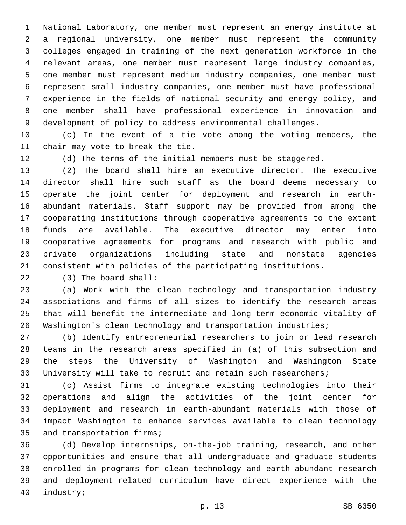National Laboratory, one member must represent an energy institute at a regional university, one member must represent the community colleges engaged in training of the next generation workforce in the relevant areas, one member must represent large industry companies, one member must represent medium industry companies, one member must represent small industry companies, one member must have professional experience in the fields of national security and energy policy, and one member shall have professional experience in innovation and development of policy to address environmental challenges.

 (c) In the event of a tie vote among the voting members, the 11 chair may vote to break the tie.

(d) The terms of the initial members must be staggered.

 (2) The board shall hire an executive director. The executive director shall hire such staff as the board deems necessary to operate the joint center for deployment and research in earth- abundant materials. Staff support may be provided from among the cooperating institutions through cooperative agreements to the extent funds are available. The executive director may enter into cooperative agreements for programs and research with public and private organizations including state and nonstate agencies consistent with policies of the participating institutions.

(3) The board shall:22

 (a) Work with the clean technology and transportation industry associations and firms of all sizes to identify the research areas that will benefit the intermediate and long-term economic vitality of Washington's clean technology and transportation industries;

 (b) Identify entrepreneurial researchers to join or lead research teams in the research areas specified in (a) of this subsection and the steps the University of Washington and Washington State University will take to recruit and retain such researchers;

 (c) Assist firms to integrate existing technologies into their operations and align the activities of the joint center for deployment and research in earth-abundant materials with those of impact Washington to enhance services available to clean technology 35 and transportation firms;

 (d) Develop internships, on-the-job training, research, and other opportunities and ensure that all undergraduate and graduate students enrolled in programs for clean technology and earth-abundant research and deployment-related curriculum have direct experience with the 40 industry;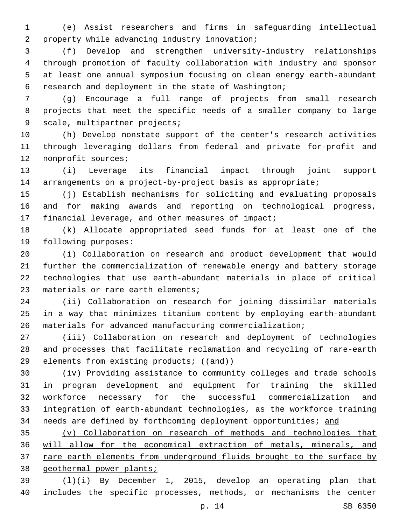(e) Assist researchers and firms in safeguarding intellectual property while advancing industry innovation;2

 (f) Develop and strengthen university-industry relationships through promotion of faculty collaboration with industry and sponsor at least one annual symposium focusing on clean energy earth-abundant research and deployment in the state of Washington;

 (g) Encourage a full range of projects from small research projects that meet the specific needs of a smaller company to large 9 scale, multipartner projects;

 (h) Develop nonstate support of the center's research activities through leveraging dollars from federal and private for-profit and 12 nonprofit sources;

 (i) Leverage its financial impact through joint support arrangements on a project-by-project basis as appropriate;

 (j) Establish mechanisms for soliciting and evaluating proposals and for making awards and reporting on technological progress, 17 financial leverage, and other measures of impact;

 (k) Allocate appropriated seed funds for at least one of the 19 following purposes:

 (i) Collaboration on research and product development that would further the commercialization of renewable energy and battery storage technologies that use earth-abundant materials in place of critical 23 materials or rare earth elements;

 (ii) Collaboration on research for joining dissimilar materials in a way that minimizes titanium content by employing earth-abundant materials for advanced manufacturing commercialization;

 (iii) Collaboration on research and deployment of technologies and processes that facilitate reclamation and recycling of rare-earth 29 elements from existing products; ((and))

 (iv) Providing assistance to community colleges and trade schools in program development and equipment for training the skilled workforce necessary for the successful commercialization and integration of earth-abundant technologies, as the workforce training 34 needs are defined by forthcoming deployment opportunities; and

 (v) Collaboration on research of methods and technologies that will allow for the economical extraction of metals, minerals, and 37 rare earth elements from underground fluids brought to the surface by geothermal power plants;

 (l)(i) By December 1, 2015, develop an operating plan that includes the specific processes, methods, or mechanisms the center